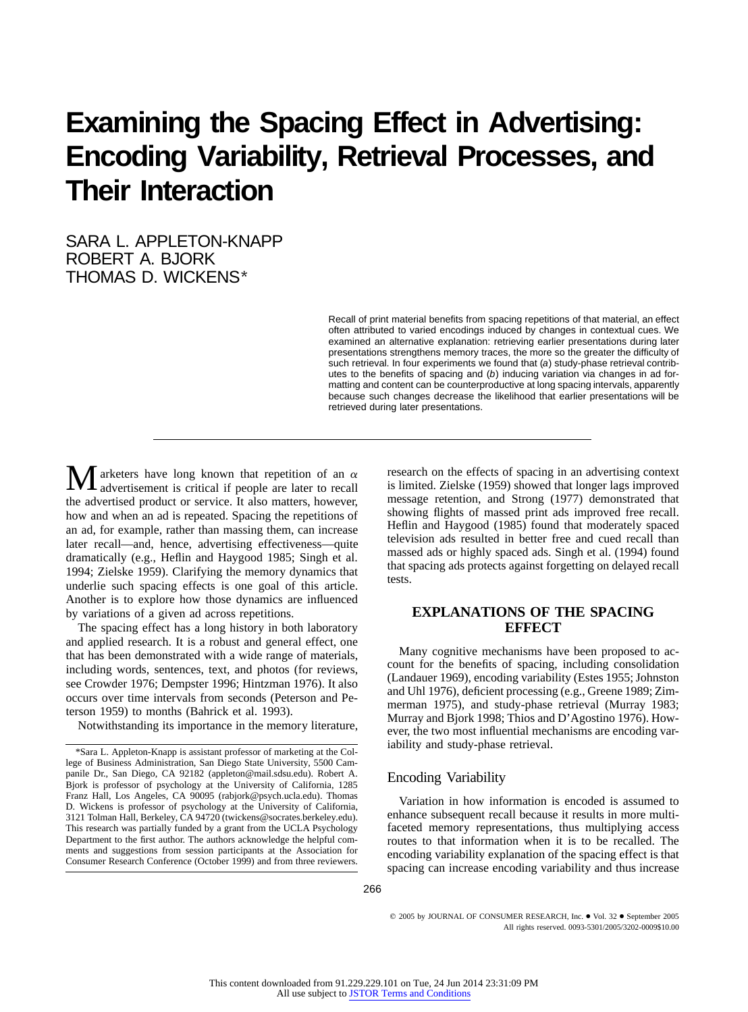# **Examining the Spacing Effect in Advertising: Encoding Variability, Retrieval Processes, and Their Interaction**

SARA L. APPLETON-KNAPP ROBERT A. BJORK THOMAS D. WICKENS\*

> Recall of print material benefits from spacing repetitions of that material, an effect often attributed to varied encodings induced by changes in contextual cues. We examined an alternative explanation: retrieving earlier presentations during later presentations strengthens memory traces, the more so the greater the difficulty of such retrieval. In four experiments we found that (a) study-phase retrieval contributes to the benefits of spacing and (b) inducing variation via changes in ad formatting and content can be counterproductive at long spacing intervals, apparently because such changes decrease the likelihood that earlier presentations will be retrieved during later presentations.

 $\bf{M}$  arketers have long known that repetition of an  $\alpha$  advertisement is critical if people are later to recall the advertised product or service. It also matters, however, how and when an ad is repeated. Spacing the repetitions of an ad, for example, rather than massing them, can increase later recall—and, hence, advertising effectiveness—quite dramatically (e.g., Heflin and Haygood 1985; Singh et al. 1994; Zielske 1959). Clarifying the memory dynamics that underlie such spacing effects is one goal of this article. Another is to explore how those dynamics are influenced by variations of a given ad across repetitions.

The spacing effect has a long history in both laboratory and applied research. It is a robust and general effect, one that has been demonstrated with a wide range of materials, including words, sentences, text, and photos (for reviews, see Crowder 1976; Dempster 1996; Hintzman 1976). It also occurs over time intervals from seconds (Peterson and Peterson 1959) to months (Bahrick et al. 1993).

Notwithstanding its importance in the memory literature,

research on the effects of spacing in an advertising context is limited. Zielske (1959) showed that longer lags improved message retention, and Strong (1977) demonstrated that showing flights of massed print ads improved free recall. Heflin and Haygood (1985) found that moderately spaced television ads resulted in better free and cued recall than massed ads or highly spaced ads. Singh et al. (1994) found that spacing ads protects against forgetting on delayed recall tests.

# **EXPLANATIONS OF THE SPACING EFFECT**

Many cognitive mechanisms have been proposed to account for the benefits of spacing, including consolidation (Landauer 1969), encoding variability (Estes 1955; Johnston and Uhl 1976), deficient processing (e.g., Greene 1989; Zimmerman 1975), and study-phase retrieval (Murray 1983; Murray and Bjork 1998; Thios and D'Agostino 1976). However, the two most influential mechanisms are encoding variability and study-phase retrieval.

# Encoding Variability

Variation in how information is encoded is assumed to enhance subsequent recall because it results in more multifaceted memory representations, thus multiplying access routes to that information when it is to be recalled. The encoding variability explanation of the spacing effect is that spacing can increase encoding variability and thus increase

<sup>\*</sup>Sara L. Appleton-Knapp is assistant professor of marketing at the College of Business Administration, San Diego State University, 5500 Campanile Dr., San Diego, CA 92182 (appleton@mail.sdsu.edu). Robert A. Bjork is professor of psychology at the University of California, 1285 Franz Hall, Los Angeles, CA 90095 (rabjork@psych.ucla.edu). Thomas D. Wickens is professor of psychology at the University of California, 3121 Tolman Hall, Berkeley, CA 94720 (twickens@socrates.berkeley.edu). This research was partially funded by a grant from the UCLA Psychology Department to the first author. The authors acknowledge the helpful comments and suggestions from session participants at the Association for Consumer Research Conference (October 1999) and from three reviewers.

2005 by JOURNAL OF CONSUMER RESEARCH, Inc. ● Vol. 32 ● September 2005 All rights reserved. 0093-5301/2005/3202-0009\$10.00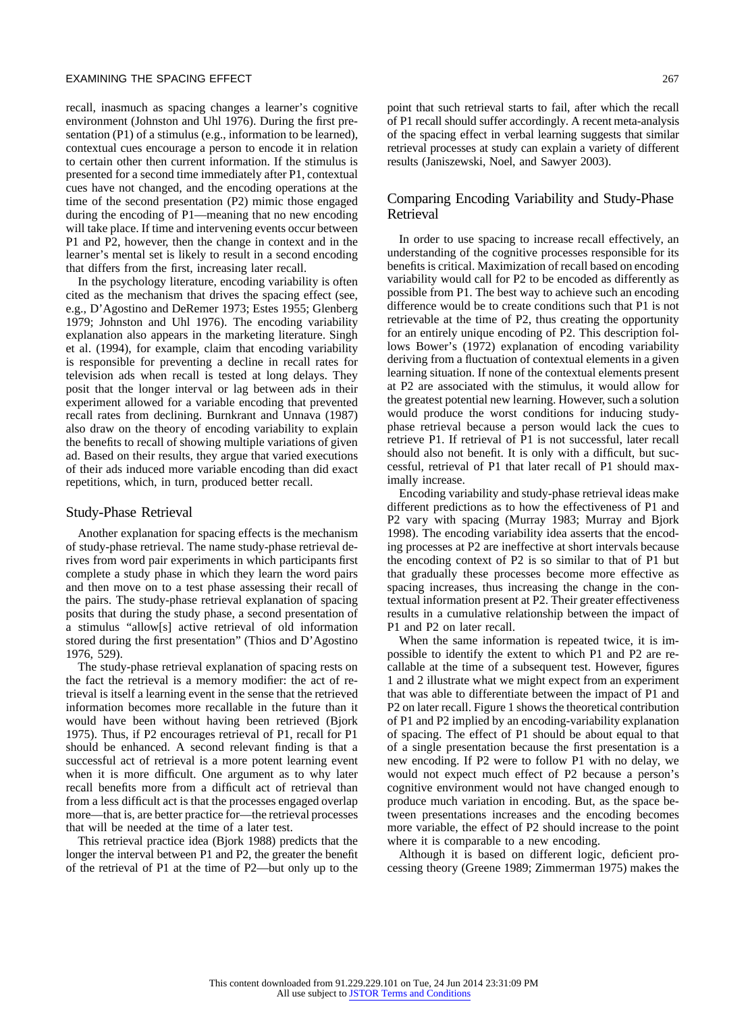recall, inasmuch as spacing changes a learner's cognitive environment (Johnston and Uhl 1976). During the first presentation (P1) of a stimulus (e.g., information to be learned), contextual cues encourage a person to encode it in relation to certain other then current information. If the stimulus is presented for a second time immediately after P1, contextual cues have not changed, and the encoding operations at the time of the second presentation (P2) mimic those engaged during the encoding of P1—meaning that no new encoding will take place. If time and intervening events occur between P1 and P2, however, then the change in context and in the learner's mental set is likely to result in a second encoding that differs from the first, increasing later recall.

In the psychology literature, encoding variability is often cited as the mechanism that drives the spacing effect (see, e.g., D'Agostino and DeRemer 1973; Estes 1955; Glenberg 1979; Johnston and Uhl 1976). The encoding variability explanation also appears in the marketing literature. Singh et al. (1994), for example, claim that encoding variability is responsible for preventing a decline in recall rates for television ads when recall is tested at long delays. They posit that the longer interval or lag between ads in their experiment allowed for a variable encoding that prevented recall rates from declining. Burnkrant and Unnava (1987) also draw on the theory of encoding variability to explain the benefits to recall of showing multiple variations of given ad. Based on their results, they argue that varied executions of their ads induced more variable encoding than did exact repetitions, which, in turn, produced better recall.

## Study-Phase Retrieval

Another explanation for spacing effects is the mechanism of study-phase retrieval. The name study-phase retrieval derives from word pair experiments in which participants first complete a study phase in which they learn the word pairs and then move on to a test phase assessing their recall of the pairs. The study-phase retrieval explanation of spacing posits that during the study phase, a second presentation of a stimulus "allow[s] active retrieval of old information stored during the first presentation" (Thios and D'Agostino 1976, 529).

The study-phase retrieval explanation of spacing rests on the fact the retrieval is a memory modifier: the act of retrieval is itself a learning event in the sense that the retrieved information becomes more recallable in the future than it would have been without having been retrieved (Bjork 1975). Thus, if P2 encourages retrieval of P1, recall for P1 should be enhanced. A second relevant finding is that a successful act of retrieval is a more potent learning event when it is more difficult. One argument as to why later recall benefits more from a difficult act of retrieval than from a less difficult act is that the processes engaged overlap more—that is, are better practice for—the retrieval processes that will be needed at the time of a later test.

This retrieval practice idea (Bjork 1988) predicts that the longer the interval between P1 and P2, the greater the benefit of the retrieval of P1 at the time of P2—but only up to the point that such retrieval starts to fail, after which the recall of P1 recall should suffer accordingly. A recent meta-analysis of the spacing effect in verbal learning suggests that similar retrieval processes at study can explain a variety of different results (Janiszewski, Noel, and Sawyer 2003).

# Comparing Encoding Variability and Study-Phase Retrieval

In order to use spacing to increase recall effectively, an understanding of the cognitive processes responsible for its benefits is critical. Maximization of recall based on encoding variability would call for P2 to be encoded as differently as possible from P1. The best way to achieve such an encoding difference would be to create conditions such that P1 is not retrievable at the time of P2, thus creating the opportunity for an entirely unique encoding of P2. This description follows Bower's (1972) explanation of encoding variability deriving from a fluctuation of contextual elements in a given learning situation. If none of the contextual elements present at P2 are associated with the stimulus, it would allow for the greatest potential new learning. However, such a solution would produce the worst conditions for inducing studyphase retrieval because a person would lack the cues to retrieve P1. If retrieval of P1 is not successful, later recall should also not benefit. It is only with a difficult, but successful, retrieval of P1 that later recall of P1 should maximally increase.

Encoding variability and study-phase retrieval ideas make different predictions as to how the effectiveness of P1 and P2 vary with spacing (Murray 1983; Murray and Bjork 1998). The encoding variability idea asserts that the encoding processes at P2 are ineffective at short intervals because the encoding context of P2 is so similar to that of P1 but that gradually these processes become more effective as spacing increases, thus increasing the change in the contextual information present at P2. Their greater effectiveness results in a cumulative relationship between the impact of P1 and P2 on later recall.

When the same information is repeated twice, it is impossible to identify the extent to which P1 and P2 are recallable at the time of a subsequent test. However, figures 1 and 2 illustrate what we might expect from an experiment that was able to differentiate between the impact of P1 and P2 on later recall. Figure 1 shows the theoretical contribution of P1 and P2 implied by an encoding-variability explanation of spacing. The effect of P1 should be about equal to that of a single presentation because the first presentation is a new encoding. If P2 were to follow P1 with no delay, we would not expect much effect of P2 because a person's cognitive environment would not have changed enough to produce much variation in encoding. But, as the space between presentations increases and the encoding becomes more variable, the effect of P2 should increase to the point where it is comparable to a new encoding.

Although it is based on different logic, deficient processing theory (Greene 1989; Zimmerman 1975) makes the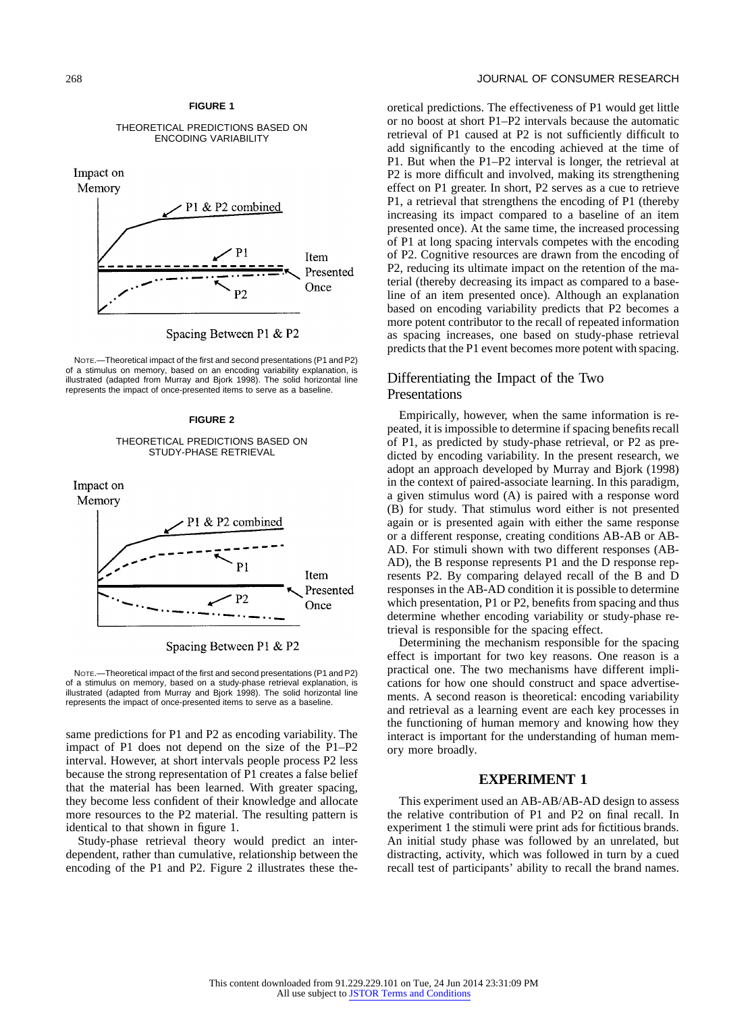## **FIGURE 1**

THEORETICAL PREDICTIONS BASED ON ENCODING VARIABILITY



Spacing Between P1 & P2

NOTE.—Theoretical impact of the first and second presentations (P1 and P2) of a stimulus on memory, based on an encoding variability explanation, is illustrated (adapted from Murray and Bjork 1998). The solid horizontal line represents the impact of once-presented items to serve as a baseline.

#### **FIGURE 2**

#### THEORETICAL PREDICTIONS BASED ON STUDY-PHASE RETRIEVAL







NOTE.—Theoretical impact of the first and second presentations (P1 and P2) of a stimulus on memory, based on a study-phase retrieval explanation, is illustrated (adapted from Murray and Bjork 1998). The solid horizontal line represents the impact of once-presented items to serve as a baseline.

same predictions for P1 and P2 as encoding variability. The impact of P1 does not depend on the size of the P1–P2 interval. However, at short intervals people process P2 less because the strong representation of P1 creates a false belief that the material has been learned. With greater spacing, they become less confident of their knowledge and allocate more resources to the P2 material. The resulting pattern is identical to that shown in figure 1.

Study-phase retrieval theory would predict an interdependent, rather than cumulative, relationship between the encoding of the P1 and P2. Figure 2 illustrates these theoretical predictions. The effectiveness of P1 would get little or no boost at short P1–P2 intervals because the automatic retrieval of P1 caused at P2 is not sufficiently difficult to add significantly to the encoding achieved at the time of P1. But when the P1–P2 interval is longer, the retrieval at P2 is more difficult and involved, making its strengthening effect on P1 greater. In short, P2 serves as a cue to retrieve P1, a retrieval that strengthens the encoding of P1 (thereby increasing its impact compared to a baseline of an item presented once). At the same time, the increased processing of P1 at long spacing intervals competes with the encoding of P2. Cognitive resources are drawn from the encoding of P2, reducing its ultimate impact on the retention of the material (thereby decreasing its impact as compared to a baseline of an item presented once). Although an explanation based on encoding variability predicts that P2 becomes a more potent contributor to the recall of repeated information as spacing increases, one based on study-phase retrieval predicts that the P1 event becomes more potent with spacing.

# Differentiating the Impact of the Two Presentations

Empirically, however, when the same information is repeated, it is impossible to determine if spacing benefits recall of P1, as predicted by study-phase retrieval, or P2 as predicted by encoding variability. In the present research, we adopt an approach developed by Murray and Bjork (1998) in the context of paired-associate learning. In this paradigm, a given stimulus word (A) is paired with a response word (B) for study. That stimulus word either is not presented again or is presented again with either the same response or a different response, creating conditions AB-AB or AB-AD. For stimuli shown with two different responses (AB-AD), the B response represents P1 and the D response represents P2. By comparing delayed recall of the B and D responses in the AB-AD condition it is possible to determine which presentation, P1 or P2, benefits from spacing and thus determine whether encoding variability or study-phase retrieval is responsible for the spacing effect.

Determining the mechanism responsible for the spacing effect is important for two key reasons. One reason is a practical one. The two mechanisms have different implications for how one should construct and space advertisements. A second reason is theoretical: encoding variability and retrieval as a learning event are each key processes in the functioning of human memory and knowing how they interact is important for the understanding of human memory more broadly.

# **EXPERIMENT 1**

This experiment used an AB-AB/AB-AD design to assess the relative contribution of P1 and P2 on final recall. In experiment 1 the stimuli were print ads for fictitious brands. An initial study phase was followed by an unrelated, but distracting, activity, which was followed in turn by a cued recall test of participants' ability to recall the brand names.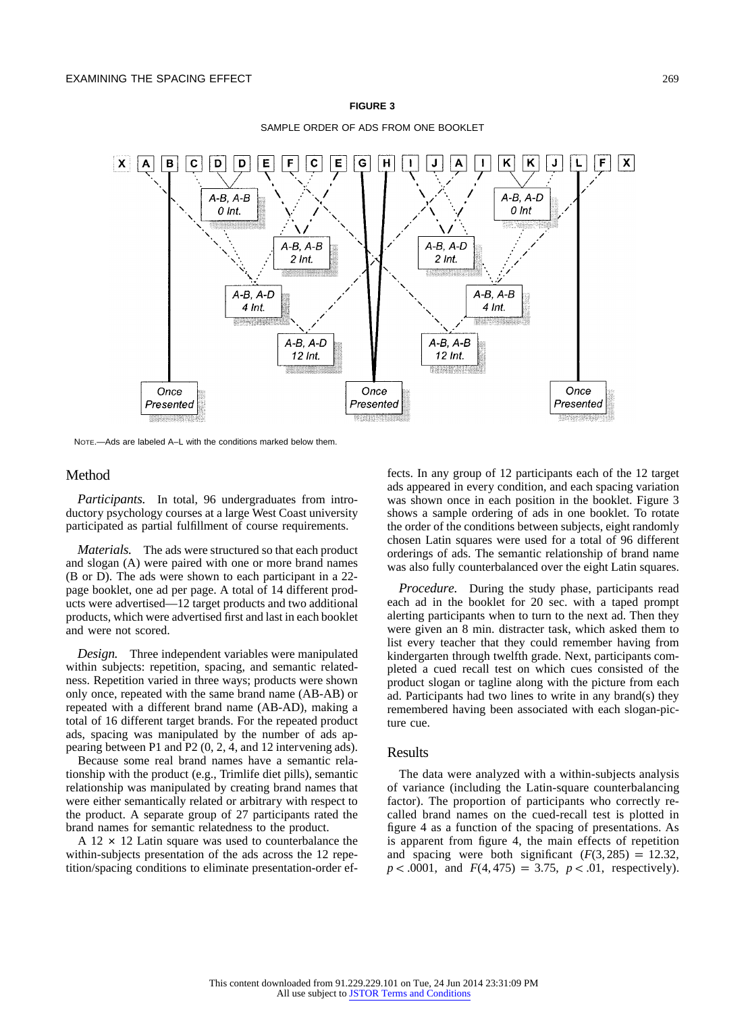## **FIGURE 3**

SAMPLE ORDER OF ADS FROM ONE BOOKLET



NOTE.—Ads are labeled A–L with the conditions marked below them.

## Method

*Participants.* In total, 96 undergraduates from introductory psychology courses at a large West Coast university participated as partial fulfillment of course requirements.

*Materials.* The ads were structured so that each product and slogan (A) were paired with one or more brand names (B or D). The ads were shown to each participant in a 22 page booklet, one ad per page. A total of 14 different products were advertised—12 target products and two additional products, which were advertised first and last in each booklet and were not scored.

*Design.* Three independent variables were manipulated within subjects: repetition, spacing, and semantic relatedness. Repetition varied in three ways; products were shown only once, repeated with the same brand name (AB-AB) or repeated with a different brand name (AB-AD), making a total of 16 different target brands. For the repeated product ads, spacing was manipulated by the number of ads appearing between P1 and P2 (0, 2, 4, and 12 intervening ads).

Because some real brand names have a semantic relationship with the product (e.g., Trimlife diet pills), semantic relationship was manipulated by creating brand names that were either semantically related or arbitrary with respect to the product. A separate group of 27 participants rated the brand names for semantic relatedness to the product.

A 12  $\times$  12 Latin square was used to counterbalance the within-subjects presentation of the ads across the 12 repetition/spacing conditions to eliminate presentation-order ef-

fects. In any group of 12 participants each of the 12 target ads appeared in every condition, and each spacing variation was shown once in each position in the booklet. Figure 3 shows a sample ordering of ads in one booklet. To rotate the order of the conditions between subjects, eight randomly chosen Latin squares were used for a total of 96 different orderings of ads. The semantic relationship of brand name was also fully counterbalanced over the eight Latin squares.

*Procedure.* During the study phase, participants read each ad in the booklet for 20 sec. with a taped prompt alerting participants when to turn to the next ad. Then they were given an 8 min. distracter task, which asked them to list every teacher that they could remember having from kindergarten through twelfth grade. Next, participants completed a cued recall test on which cues consisted of the product slogan or tagline along with the picture from each ad. Participants had two lines to write in any brand(s) they remembered having been associated with each slogan-picture cue.

# Results

The data were analyzed with a within-subjects analysis of variance (including the Latin-square counterbalancing factor). The proportion of participants who correctly recalled brand names on the cued-recall test is plotted in figure 4 as a function of the spacing of presentations. As is apparent from figure 4, the main effects of repetition and spacing were both significant  $(F(3, 285) = 12.32)$ ,  $p < .0001$ , and  $F(4, 475) = 3.75$ ,  $p < .01$ , respectively).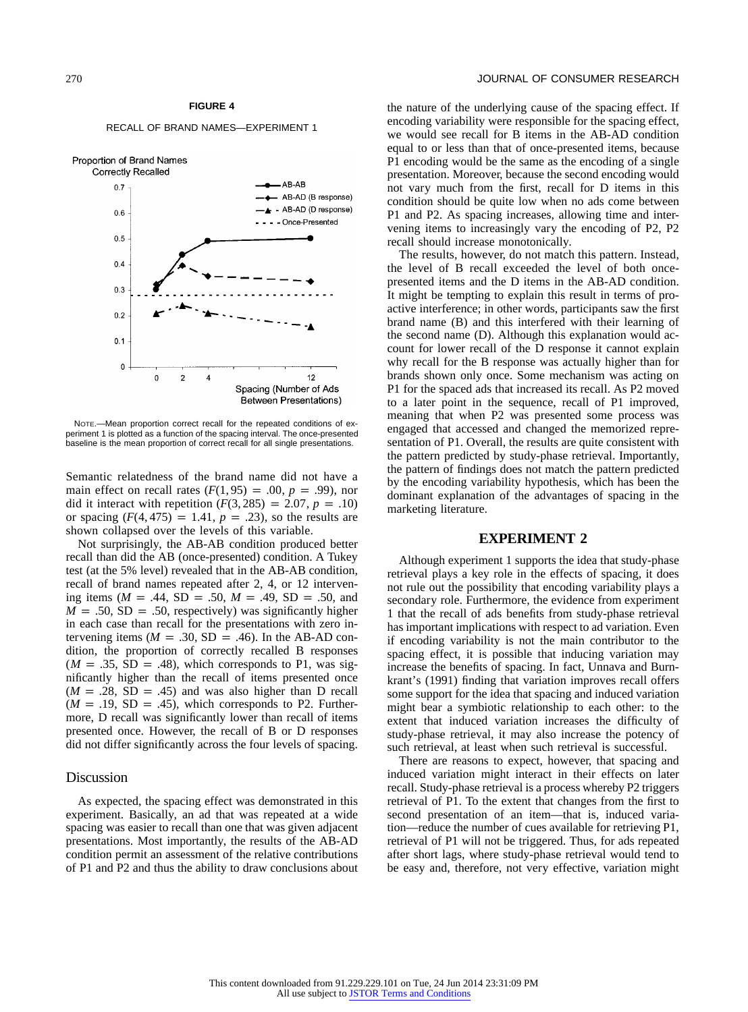# **FIGURE 4**

RECALL OF BRAND NAMES—EXPERIMENT 1



NOTE.—Mean proportion correct recall for the repeated conditions of experiment 1 is plotted as a function of the spacing interval. The once-presented baseline is the mean proportion of correct recall for all single presentations.

Semantic relatedness of the brand name did not have a main effect on recall rates  $(F(1, 95) = .00, p = .99)$ , nor did it interact with repetition  $(F(3, 285) = 2.07, p = .10)$ or spacing  $(F(4, 475) = 1.41, p = .23)$ , so the results are shown collapsed over the levels of this variable.

Not surprisingly, the AB-AB condition produced better recall than did the AB (once-presented) condition. A Tukey test (at the 5% level) revealed that in the AB-AB condition, recall of brand names repeated after 2, 4, or 12 intervening items ( $M = .44$ , SD = .50,  $M = .49$ , SD = .50, and  $M = .50$ , SD = .50, respectively) was significantly higher in each case than recall for the presentations with zero intervening items ( $M = .30$ , SD = .46). In the AB-AD condition, the proportion of correctly recalled B responses  $(M = .35, SD = .48)$ , which corresponds to P1, was significantly higher than the recall of items presented once  $(M = .28, SD = .45)$  and was also higher than D recall  $(M = .19, SD = .45)$ , which corresponds to P2. Furthermore, D recall was significantly lower than recall of items presented once. However, the recall of B or D responses did not differ significantly across the four levels of spacing.

## Discussion

As expected, the spacing effect was demonstrated in this experiment. Basically, an ad that was repeated at a wide spacing was easier to recall than one that was given adjacent presentations. Most importantly, the results of the AB-AD condition permit an assessment of the relative contributions of P1 and P2 and thus the ability to draw conclusions about the nature of the underlying cause of the spacing effect. If encoding variability were responsible for the spacing effect, we would see recall for B items in the AB-AD condition equal to or less than that of once-presented items, because P1 encoding would be the same as the encoding of a single presentation. Moreover, because the second encoding would not vary much from the first, recall for D items in this condition should be quite low when no ads come between P1 and P2. As spacing increases, allowing time and intervening items to increasingly vary the encoding of P2, P2 recall should increase monotonically.

The results, however, do not match this pattern. Instead, the level of B recall exceeded the level of both oncepresented items and the D items in the AB-AD condition. It might be tempting to explain this result in terms of proactive interference; in other words, participants saw the first brand name (B) and this interfered with their learning of the second name (D). Although this explanation would account for lower recall of the D response it cannot explain why recall for the B response was actually higher than for brands shown only once. Some mechanism was acting on P1 for the spaced ads that increased its recall. As P2 moved to a later point in the sequence, recall of P1 improved, meaning that when P2 was presented some process was engaged that accessed and changed the memorized representation of P1. Overall, the results are quite consistent with the pattern predicted by study-phase retrieval. Importantly, the pattern of findings does not match the pattern predicted by the encoding variability hypothesis, which has been the dominant explanation of the advantages of spacing in the marketing literature.

# **EXPERIMENT 2**

Although experiment 1 supports the idea that study-phase retrieval plays a key role in the effects of spacing, it does not rule out the possibility that encoding variability plays a secondary role. Furthermore, the evidence from experiment 1 that the recall of ads benefits from study-phase retrieval has important implications with respect to ad variation. Even if encoding variability is not the main contributor to the spacing effect, it is possible that inducing variation may increase the benefits of spacing. In fact, Unnava and Burnkrant's (1991) finding that variation improves recall offers some support for the idea that spacing and induced variation might bear a symbiotic relationship to each other: to the extent that induced variation increases the difficulty of study-phase retrieval, it may also increase the potency of such retrieval, at least when such retrieval is successful.

There are reasons to expect, however, that spacing and induced variation might interact in their effects on later recall. Study-phase retrieval is a process whereby P2 triggers retrieval of P1. To the extent that changes from the first to second presentation of an item—that is, induced variation—reduce the number of cues available for retrieving P1, retrieval of P1 will not be triggered. Thus, for ads repeated after short lags, where study-phase retrieval would tend to be easy and, therefore, not very effective, variation might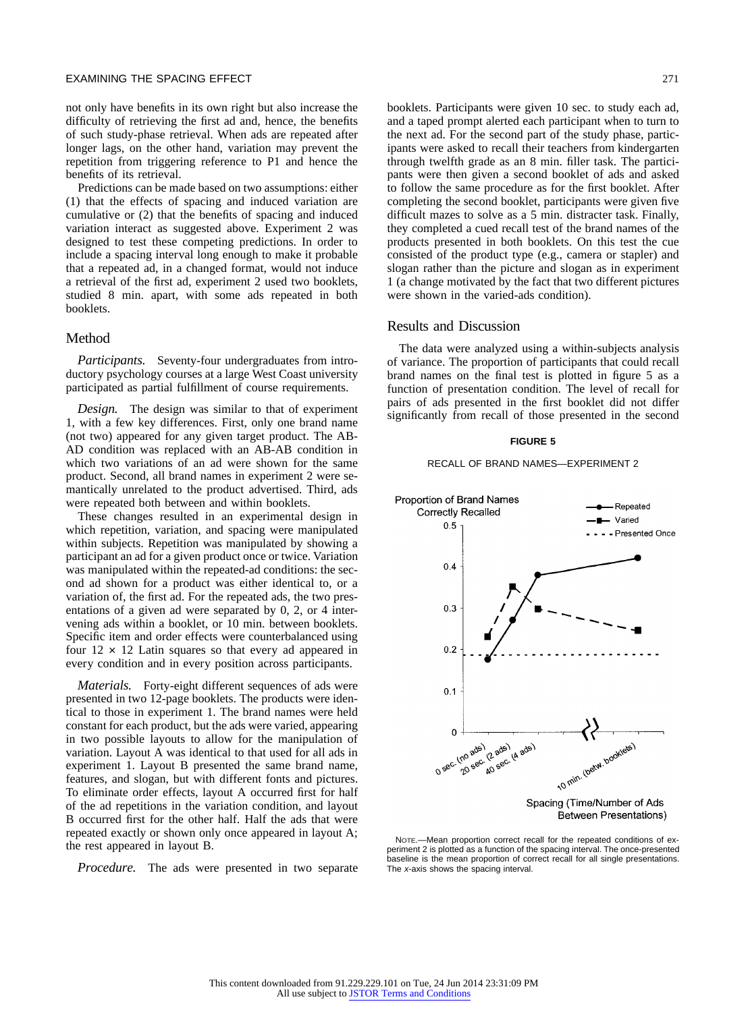## **EXAMINING THE SPACING EFFECT** 271

not only have benefits in its own right but also increase the difficulty of retrieving the first ad and, hence, the benefits of such study-phase retrieval. When ads are repeated after longer lags, on the other hand, variation may prevent the repetition from triggering reference to P1 and hence the benefits of its retrieval.

Predictions can be made based on two assumptions: either (1) that the effects of spacing and induced variation are cumulative or (2) that the benefits of spacing and induced variation interact as suggested above. Experiment 2 was designed to test these competing predictions. In order to include a spacing interval long enough to make it probable that a repeated ad, in a changed format, would not induce a retrieval of the first ad, experiment 2 used two booklets, studied 8 min. apart, with some ads repeated in both booklets.

## Method

*Participants.* Seventy-four undergraduates from introductory psychology courses at a large West Coast university participated as partial fulfillment of course requirements.

*Design.* The design was similar to that of experiment 1, with a few key differences. First, only one brand name (not two) appeared for any given target product. The AB-AD condition was replaced with an AB-AB condition in which two variations of an ad were shown for the same product. Second, all brand names in experiment 2 were semantically unrelated to the product advertised. Third, ads were repeated both between and within booklets.

These changes resulted in an experimental design in which repetition, variation, and spacing were manipulated within subjects. Repetition was manipulated by showing a participant an ad for a given product once or twice. Variation was manipulated within the repeated-ad conditions: the second ad shown for a product was either identical to, or a variation of, the first ad. For the repeated ads, the two presentations of a given ad were separated by 0, 2, or 4 intervening ads within a booklet, or 10 min. between booklets. Specific item and order effects were counterbalanced using four  $12 \times 12$  Latin squares so that every ad appeared in every condition and in every position across participants.

*Materials.* Forty-eight different sequences of ads were presented in two 12-page booklets. The products were identical to those in experiment 1. The brand names were held constant for each product, but the ads were varied, appearing in two possible layouts to allow for the manipulation of variation. Layout A was identical to that used for all ads in experiment 1. Layout B presented the same brand name, features, and slogan, but with different fonts and pictures. To eliminate order effects, layout A occurred first for half of the ad repetitions in the variation condition, and layout B occurred first for the other half. Half the ads that were repeated exactly or shown only once appeared in layout A; the rest appeared in layout B.

*Procedure.* The ads were presented in two separate

booklets. Participants were given 10 sec. to study each ad, and a taped prompt alerted each participant when to turn to the next ad. For the second part of the study phase, participants were asked to recall their teachers from kindergarten through twelfth grade as an 8 min. filler task. The participants were then given a second booklet of ads and asked to follow the same procedure as for the first booklet. After completing the second booklet, participants were given five difficult mazes to solve as a 5 min. distracter task. Finally, they completed a cued recall test of the brand names of the products presented in both booklets. On this test the cue consisted of the product type (e.g., camera or stapler) and slogan rather than the picture and slogan as in experiment 1 (a change motivated by the fact that two different pictures were shown in the varied-ads condition).

## Results and Discussion

The data were analyzed using a within-subjects analysis of variance. The proportion of participants that could recall brand names on the final test is plotted in figure 5 as a function of presentation condition. The level of recall for pairs of ads presented in the first booklet did not differ significantly from recall of those presented in the second

#### **FIGURE 5**

#### RECALL OF BRAND NAMES—EXPERIMENT 2



NOTE.—Mean proportion correct recall for the repeated conditions of experiment 2 is plotted as a function of the spacing interval. The once-presented baseline is the mean proportion of correct recall for all single presentations. The x-axis shows the spacing interval.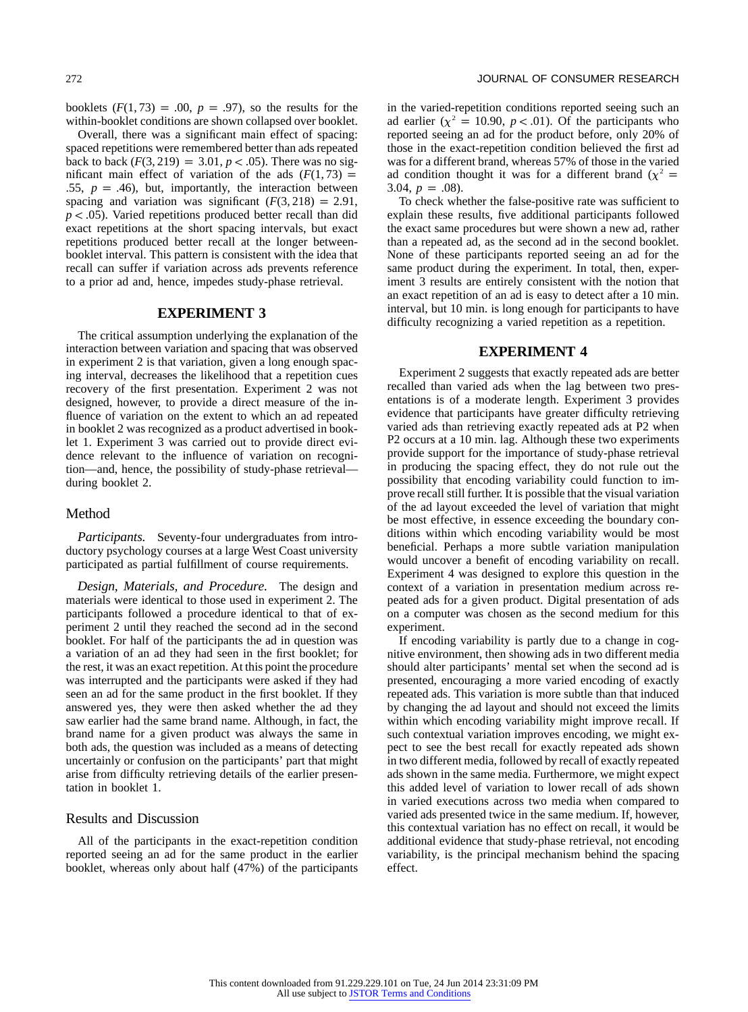booklets  $(F(1, 73) = .00, p = .97)$ , so the results for the within-booklet conditions are shown collapsed over booklet.

Overall, there was a significant main effect of spacing: spaced repetitions were remembered better than ads repeated back to back  $(F(3, 219) = 3.01, p < .05)$ . There was no significant main effect of variation of the ads  $(F(1, 73)) =$ .55,  $p = .46$ , but, importantly, the interaction between spacing and variation was significant  $(F(3, 218) = 2.91$ ,  $p < .05$ ). Varied repetitions produced better recall than did exact repetitions at the short spacing intervals, but exact repetitions produced better recall at the longer betweenbooklet interval. This pattern is consistent with the idea that recall can suffer if variation across ads prevents reference to a prior ad and, hence, impedes study-phase retrieval.

## **EXPERIMENT 3**

The critical assumption underlying the explanation of the interaction between variation and spacing that was observed in experiment 2 is that variation, given a long enough spacing interval, decreases the likelihood that a repetition cues recovery of the first presentation. Experiment 2 was not designed, however, to provide a direct measure of the influence of variation on the extent to which an ad repeated in booklet 2 was recognized as a product advertised in booklet 1. Experiment 3 was carried out to provide direct evidence relevant to the influence of variation on recognition—and, hence, the possibility of study-phase retrieval during booklet 2.

# Method

*Participants.* Seventy-four undergraduates from introductory psychology courses at a large West Coast university participated as partial fulfillment of course requirements.

*Design, Materials, and Procedure.* The design and materials were identical to those used in experiment 2. The participants followed a procedure identical to that of experiment 2 until they reached the second ad in the second booklet. For half of the participants the ad in question was a variation of an ad they had seen in the first booklet; for the rest, it was an exact repetition. At this point the procedure was interrupted and the participants were asked if they had seen an ad for the same product in the first booklet. If they answered yes, they were then asked whether the ad they saw earlier had the same brand name. Although, in fact, the brand name for a given product was always the same in both ads, the question was included as a means of detecting uncertainly or confusion on the participants' part that might arise from difficulty retrieving details of the earlier presentation in booklet 1.

## Results and Discussion

All of the participants in the exact-repetition condition reported seeing an ad for the same product in the earlier booklet, whereas only about half (47%) of the participants in the varied-repetition conditions reported seeing such an ad earlier ( $\chi^2$  = 10.90, *p* < .01). Of the participants who reported seeing an ad for the product before, only 20% of those in the exact-repetition condition believed the first ad was for a different brand, whereas 57% of those in the varied ad condition thought it was for a different brand  $(x^2 =$ 3.04,  $p = .08$ ).

To check whether the false-positive rate was sufficient to explain these results, five additional participants followed the exact same procedures but were shown a new ad, rather than a repeated ad, as the second ad in the second booklet. None of these participants reported seeing an ad for the same product during the experiment. In total, then, experiment 3 results are entirely consistent with the notion that an exact repetition of an ad is easy to detect after a 10 min. interval, but 10 min. is long enough for participants to have difficulty recognizing a varied repetition as a repetition.

# **EXPERIMENT 4**

Experiment 2 suggests that exactly repeated ads are better recalled than varied ads when the lag between two presentations is of a moderate length. Experiment 3 provides evidence that participants have greater difficulty retrieving varied ads than retrieving exactly repeated ads at P2 when P2 occurs at a 10 min. lag. Although these two experiments provide support for the importance of study-phase retrieval in producing the spacing effect, they do not rule out the possibility that encoding variability could function to improve recall still further. It is possible that the visual variation of the ad layout exceeded the level of variation that might be most effective, in essence exceeding the boundary conditions within which encoding variability would be most beneficial. Perhaps a more subtle variation manipulation would uncover a benefit of encoding variability on recall. Experiment 4 was designed to explore this question in the context of a variation in presentation medium across repeated ads for a given product. Digital presentation of ads on a computer was chosen as the second medium for this experiment.

If encoding variability is partly due to a change in cognitive environment, then showing ads in two different media should alter participants' mental set when the second ad is presented, encouraging a more varied encoding of exactly repeated ads. This variation is more subtle than that induced by changing the ad layout and should not exceed the limits within which encoding variability might improve recall. If such contextual variation improves encoding, we might expect to see the best recall for exactly repeated ads shown in two different media, followed by recall of exactly repeated ads shown in the same media. Furthermore, we might expect this added level of variation to lower recall of ads shown in varied executions across two media when compared to varied ads presented twice in the same medium. If, however, this contextual variation has no effect on recall, it would be additional evidence that study-phase retrieval, not encoding variability, is the principal mechanism behind the spacing effect.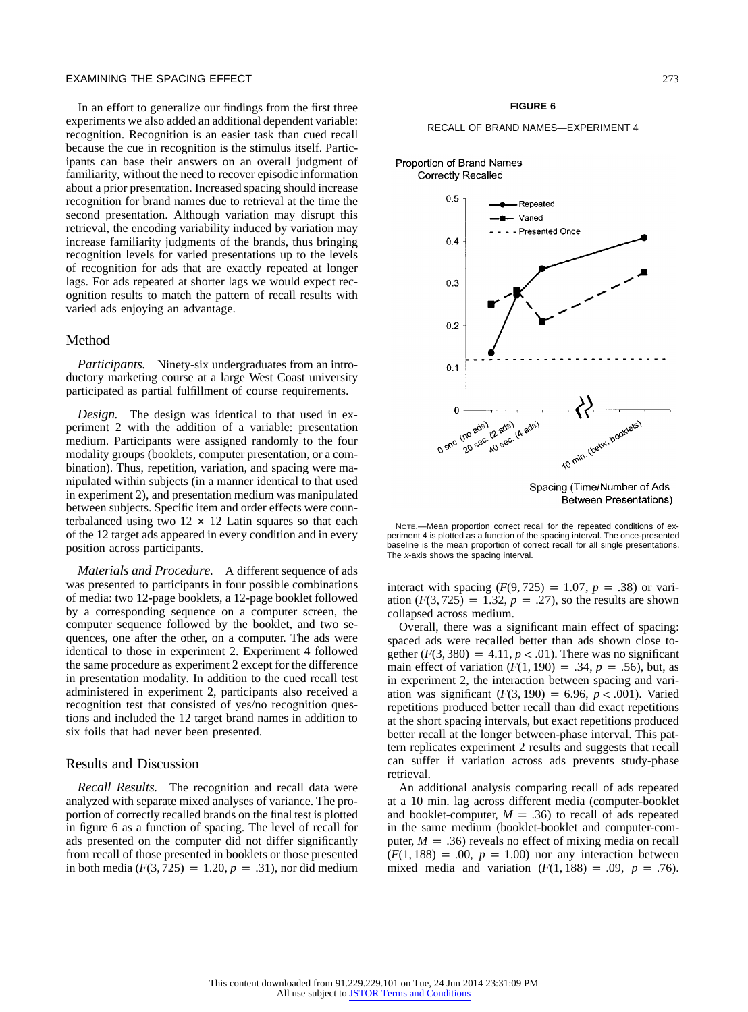## **EXAMINING THE SPACING EFFECT** 273

In an effort to generalize our findings from the first three experiments we also added an additional dependent variable: recognition. Recognition is an easier task than cued recall because the cue in recognition is the stimulus itself. Participants can base their answers on an overall judgment of familiarity, without the need to recover episodic information about a prior presentation. Increased spacing should increase recognition for brand names due to retrieval at the time the second presentation. Although variation may disrupt this retrieval, the encoding variability induced by variation may increase familiarity judgments of the brands, thus bringing recognition levels for varied presentations up to the levels of recognition for ads that are exactly repeated at longer lags. For ads repeated at shorter lags we would expect recognition results to match the pattern of recall results with varied ads enjoying an advantage.

## Method

*Participants.* Ninety-six undergraduates from an introductory marketing course at a large West Coast university participated as partial fulfillment of course requirements.

*Design.* The design was identical to that used in experiment 2 with the addition of a variable: presentation medium. Participants were assigned randomly to the four modality groups (booklets, computer presentation, or a combination). Thus, repetition, variation, and spacing were manipulated within subjects (in a manner identical to that used in experiment 2), and presentation medium was manipulated between subjects. Specific item and order effects were counterbalanced using two  $12 \times 12$  Latin squares so that each of the 12 target ads appeared in every condition and in every position across participants.

*Materials and Procedure.* A different sequence of ads was presented to participants in four possible combinations of media: two 12-page booklets, a 12-page booklet followed by a corresponding sequence on a computer screen, the computer sequence followed by the booklet, and two sequences, one after the other, on a computer. The ads were identical to those in experiment 2. Experiment 4 followed the same procedure as experiment 2 except for the difference in presentation modality. In addition to the cued recall test administered in experiment 2, participants also received a recognition test that consisted of yes/no recognition questions and included the 12 target brand names in addition to six foils that had never been presented.

## Results and Discussion

*Recall Results.* The recognition and recall data were analyzed with separate mixed analyses of variance. The proportion of correctly recalled brands on the final test is plotted in figure 6 as a function of spacing. The level of recall for ads presented on the computer did not differ significantly from recall of those presented in booklets or those presented in both media  $(F(3, 725) = 1.20, p = .31)$ , nor did medium

## **FIGURE 6**

#### RECALL OF BRAND NAMES—EXPERIMENT 4

Proportion of Brand Names



Spacing (Time/Number of Ads **Between Presentations)** 

NOTE.—Mean proportion correct recall for the repeated conditions of experiment 4 is plotted as a function of the spacing interval. The once-presented baseline is the mean proportion of correct recall for all single presentations. The x-axis shows the spacing interval.

interact with spacing  $(F(9, 725) = 1.07, p = .38)$  or variation  $(F(3, 725) = 1.32, p = .27)$ , so the results are shown collapsed across medium.

Overall, there was a significant main effect of spacing: spaced ads were recalled better than ads shown close together  $(F(3, 380) = 4.11, p < .01)$ . There was no significant main effect of variation  $(F(1, 190) = .34, p = .56)$ , but, as in experiment 2, the interaction between spacing and variation was significant  $(F(3, 190) = 6.96, p < .001)$ . Varied repetitions produced better recall than did exact repetitions at the short spacing intervals, but exact repetitions produced better recall at the longer between-phase interval. This pattern replicates experiment 2 results and suggests that recall can suffer if variation across ads prevents study-phase retrieval.

An additional analysis comparing recall of ads repeated at a 10 min. lag across different media (computer-booklet and booklet-computer,  $M = .36$  to recall of ads repeated in the same medium (booklet-booklet and computer-computer,  $M = .36$  reveals no effect of mixing media on recall  $(F(1, 188) = .00, p = 1.00)$  nor any interaction between mixed media and variation  $(F(1, 188) = .09, p = .76)$ .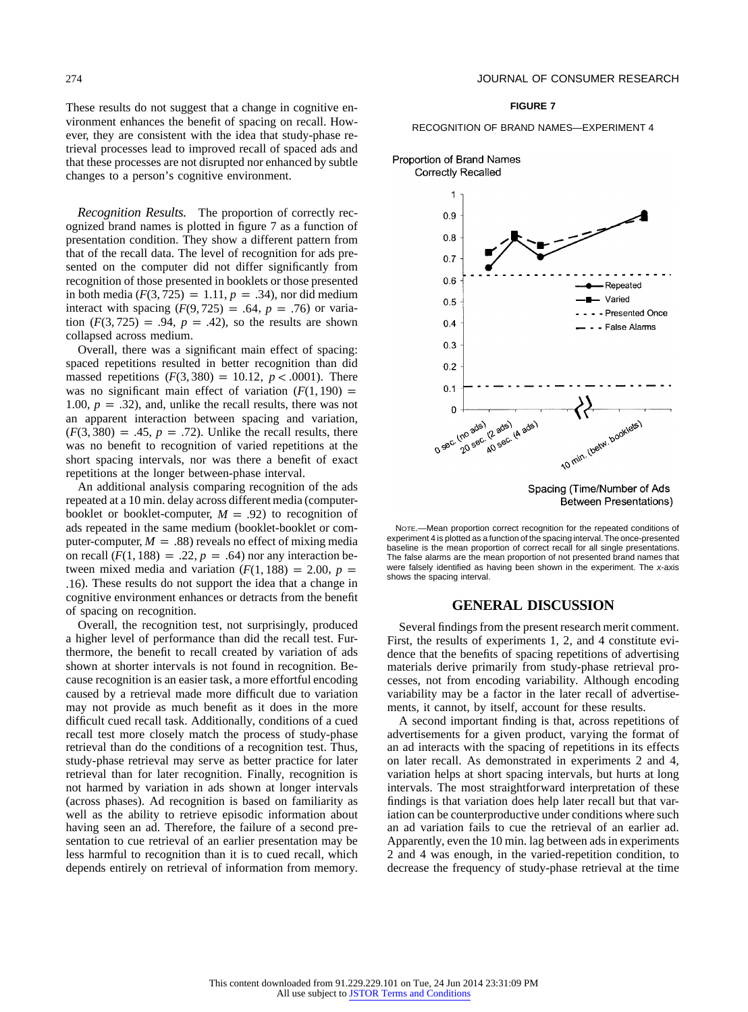These results do not suggest that a change in cognitive environment enhances the benefit of spacing on recall. However, they are consistent with the idea that study-phase retrieval processes lead to improved recall of spaced ads and that these processes are not disrupted nor enhanced by subtle changes to a person's cognitive environment.

*Recognition Results.* The proportion of correctly recognized brand names is plotted in figure 7 as a function of presentation condition. They show a different pattern from that of the recall data. The level of recognition for ads presented on the computer did not differ significantly from recognition of those presented in booklets or those presented in both media  $(F(3, 725) = 1.11, p = .34)$ , nor did medium interact with spacing  $(F(9, 725) = .64, p = .76)$  or variation  $(F(3, 725) = .94, p = .42)$ , so the results are shown collapsed across medium.

Overall, there was a significant main effect of spacing: spaced repetitions resulted in better recognition than did massed repetitions  $(F(3, 380) = 10.12, p < .0001)$ . There was no significant main effect of variation  $(F(1, 190) =$ 1.00,  $p = .32$ ), and, unlike the recall results, there was not an apparent interaction between spacing and variation,  $(F(3, 380) = .45, p = .72)$ . Unlike the recall results, there was no benefit to recognition of varied repetitions at the short spacing intervals, nor was there a benefit of exact repetitions at the longer between-phase interval.

An additional analysis comparing recognition of the ads repeated at a 10 min. delay across different media (computerbooklet or booklet-computer,  $M = .92$  to recognition of ads repeated in the same medium (booklet-booklet or computer-computer,  $M = .88$  reveals no effect of mixing media on recall  $(F(1, 188) = .22, p = .64)$  nor any interaction between mixed media and variation  $(F(1, 188) = 2.00, p =$ .16). These results do not support the idea that a change in cognitive environment enhances or detracts from the benefit of spacing on recognition.

Overall, the recognition test, not surprisingly, produced a higher level of performance than did the recall test. Furthermore, the benefit to recall created by variation of ads shown at shorter intervals is not found in recognition. Because recognition is an easier task, a more effortful encoding caused by a retrieval made more difficult due to variation may not provide as much benefit as it does in the more difficult cued recall task. Additionally, conditions of a cued recall test more closely match the process of study-phase retrieval than do the conditions of a recognition test. Thus, study-phase retrieval may serve as better practice for later retrieval than for later recognition. Finally, recognition is not harmed by variation in ads shown at longer intervals (across phases). Ad recognition is based on familiarity as well as the ability to retrieve episodic information about having seen an ad. Therefore, the failure of a second presentation to cue retrieval of an earlier presentation may be less harmful to recognition than it is to cued recall, which depends entirely on retrieval of information from memory.

#### **FIGURE 7**

## RECOGNITION OF BRAND NAMES—EXPERIMENT 4



Spacing (Time/Number of Ads **Between Presentations)** 

NOTE.—Mean proportion correct recognition for the repeated conditions of experiment 4 is plotted as a function of the spacing interval. The once-presented baseline is the mean proportion of correct recall for all single presentations. The false alarms are the mean proportion of not presented brand names that were falsely identified as having been shown in the experiment. The x-axis shows the spacing interval.

# **GENERAL DISCUSSION**

Several findings from the present research merit comment. First, the results of experiments 1, 2, and 4 constitute evidence that the benefits of spacing repetitions of advertising materials derive primarily from study-phase retrieval processes, not from encoding variability. Although encoding variability may be a factor in the later recall of advertisements, it cannot, by itself, account for these results.

A second important finding is that, across repetitions of advertisements for a given product, varying the format of an ad interacts with the spacing of repetitions in its effects on later recall. As demonstrated in experiments 2 and 4, variation helps at short spacing intervals, but hurts at long intervals. The most straightforward interpretation of these findings is that variation does help later recall but that variation can be counterproductive under conditions where such an ad variation fails to cue the retrieval of an earlier ad. Apparently, even the 10 min. lag between ads in experiments 2 and 4 was enough, in the varied-repetition condition, to decrease the frequency of study-phase retrieval at the time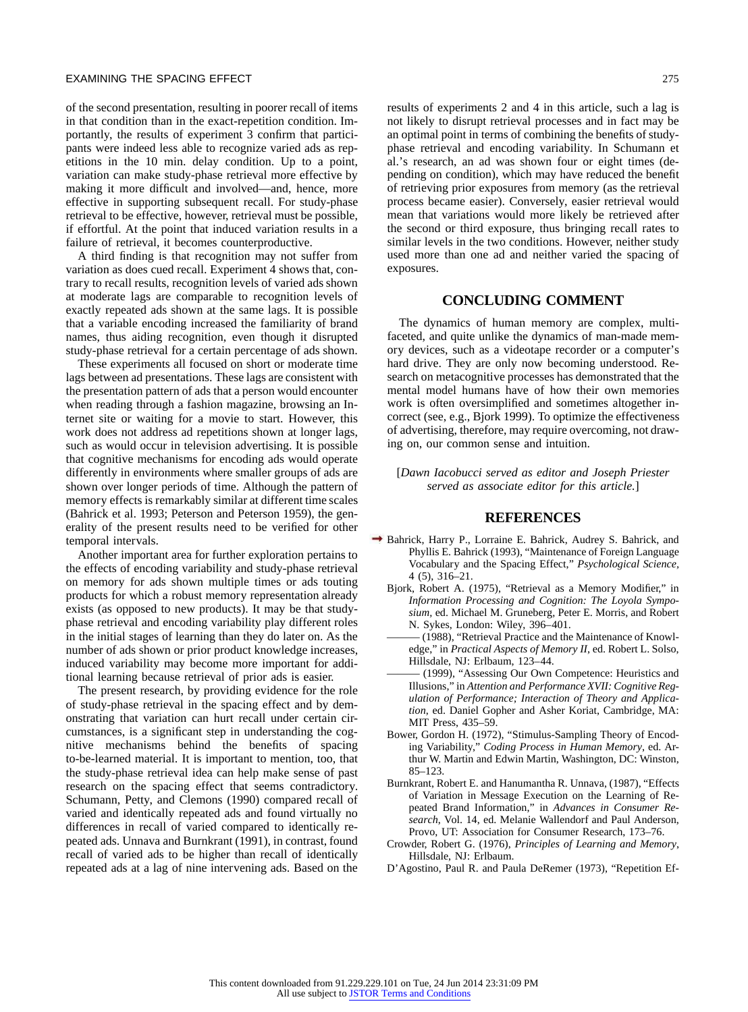## **EXAMINING THE SPACING EFFECT EXAMINING** THE SPACING EFFECT

of the second presentation, resulting in poorer recall of items in that condition than in the exact-repetition condition. Importantly, the results of experiment 3 confirm that participants were indeed less able to recognize varied ads as repetitions in the 10 min. delay condition. Up to a point, variation can make study-phase retrieval more effective by making it more difficult and involved—and, hence, more effective in supporting subsequent recall. For study-phase retrieval to be effective, however, retrieval must be possible, if effortful. At the point that induced variation results in a failure of retrieval, it becomes counterproductive.

A third finding is that recognition may not suffer from variation as does cued recall. Experiment 4 shows that, contrary to recall results, recognition levels of varied ads shown at moderate lags are comparable to recognition levels of exactly repeated ads shown at the same lags. It is possible that a variable encoding increased the familiarity of brand names, thus aiding recognition, even though it disrupted study-phase retrieval for a certain percentage of ads shown.

These experiments all focused on short or moderate time lags between ad presentations. These lags are consistent with the presentation pattern of ads that a person would encounter when reading through a fashion magazine, browsing an Internet site or waiting for a movie to start. However, this work does not address ad repetitions shown at longer lags, such as would occur in television advertising. It is possible that cognitive mechanisms for encoding ads would operate differently in environments where smaller groups of ads are shown over longer periods of time. Although the pattern of memory effects is remarkably similar at different time scales (Bahrick et al. 1993; Peterson and Peterson 1959), the generality of the present results need to be verified for other temporal intervals.

Another important area for further exploration pertains to the effects of encoding variability and study-phase retrieval on memory for ads shown multiple times or ads touting products for which a robust memory representation already exists (as opposed to new products). It may be that studyphase retrieval and encoding variability play different roles in the initial stages of learning than they do later on. As the number of ads shown or prior product knowledge increases, induced variability may become more important for additional learning because retrieval of prior ads is easier.

The present research, by providing evidence for the role of study-phase retrieval in the spacing effect and by demonstrating that variation can hurt recall under certain circumstances, is a significant step in understanding the cognitive mechanisms behind the benefits of spacing to-be-learned material. It is important to mention, too, that the study-phase retrieval idea can help make sense of past research on the spacing effect that seems contradictory. Schumann, Petty, and Clemons (1990) compared recall of varied and identically repeated ads and found virtually no differences in recall of varied compared to identically repeated ads. Unnava and Burnkrant (1991), in contrast, found recall of varied ads to be higher than recall of identically repeated ads at a lag of nine intervening ads. Based on the results of experiments 2 and 4 in this article, such a lag is not likely to disrupt retrieval processes and in fact may be an optimal point in terms of combining the benefits of studyphase retrieval and encoding variability. In Schumann et al.'s research, an ad was shown four or eight times (depending on condition), which may have reduced the benefit of retrieving prior exposures from memory (as the retrieval process became easier). Conversely, easier retrieval would mean that variations would more likely be retrieved after the second or third exposure, thus bringing recall rates to similar levels in the two conditions. However, neither study used more than one ad and neither varied the spacing of exposures.

# **CONCLUDING COMMENT**

The dynamics of human memory are complex, multifaceted, and quite unlike the dynamics of man-made memory devices, such as a videotape recorder or a computer's hard drive. They are only now becoming understood. Research on metacognitive processes has demonstrated that the mental model humans have of how their own memories work is often oversimplified and sometimes altogether incorrect (see, e.g., Bjork 1999). To optimize the effectiveness of advertising, therefore, may require overcoming, not drawing on, our common sense and intuition.

[*Dawn Iacobucci served as editor and Joseph Priester served as associate editor for this article.*]

# **REFERENCES**

- Bahrick, Harry P., Lorraine E. Bahrick, Audrey S. Bahrick, and Phyllis E. Bahrick (1993), "Maintenance of Foreign Language Vocabulary and the Spacing Effect," *Psychological Science,* 4 (5), 316–21.
	- Bjork, Robert A. (1975), "Retrieval as a Memory Modifier," in *Information Processing and Cognition: The Loyola Symposium,* ed. Michael M. Gruneberg, Peter E. Morris, and Robert N. Sykes, London: Wiley, 396–401.
	- (1988), "Retrieval Practice and the Maintenance of Knowledge," in *Practical Aspects of Memory II*, ed. Robert L. Solso, Hillsdale, NJ: Erlbaum, 123–44.
	- ——— (1999), "Assessing Our Own Competence: Heuristics and Illusions," in *Attention and Performance XVII: Cognitive Regulation of Performance; Interaction of Theory and Application*, ed. Daniel Gopher and Asher Koriat, Cambridge, MA: MIT Press, 435–59.
	- Bower, Gordon H. (1972), "Stimulus-Sampling Theory of Encoding Variability," *Coding Process in Human Memory*, ed. Arthur W. Martin and Edwin Martin, Washington, DC: Winston, 85–123.
	- Burnkrant, Robert E. and Hanumantha R. Unnava, (1987), "Effects of Variation in Message Execution on the Learning of Repeated Brand Information," in *Advances in Consumer Research*, Vol. 14, ed. Melanie Wallendorf and Paul Anderson, Provo, UT: Association for Consumer Research, 173–76.
	- Crowder, Robert G. (1976), *Principles of Learning and Memory*, Hillsdale, NJ: Erlbaum.
	- D'Agostino, Paul R. and Paula DeRemer (1973), "Repetition Ef-